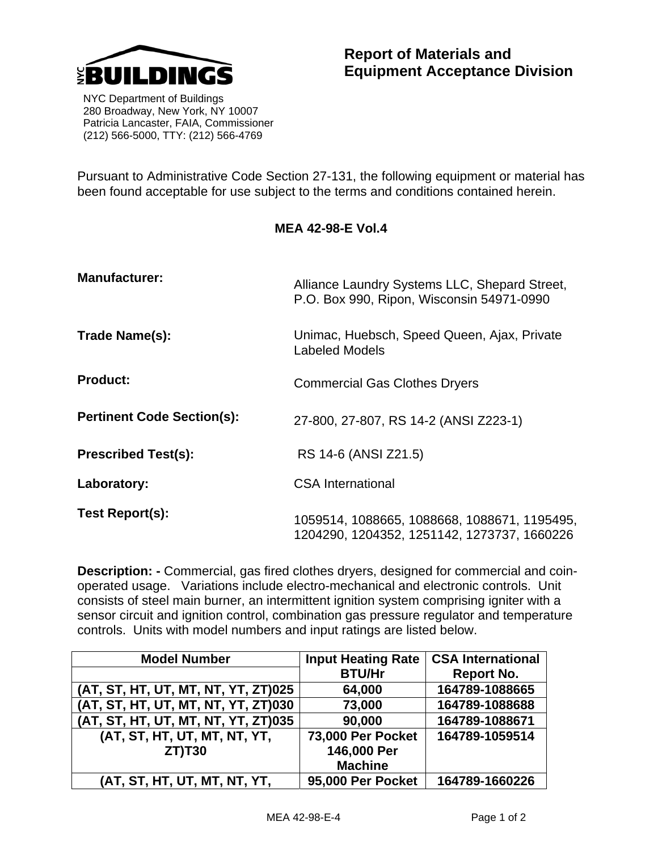

 NYC Department of Buildings 280 Broadway, New York, NY 10007 Patricia Lancaster, FAIA, Commissioner (212) 566-5000, TTY: (212) 566-4769

Pursuant to Administrative Code Section 27-131, the following equipment or material has been found acceptable for use subject to the terms and conditions contained herein.

| MEA 42-98-E Vol.4 |
|-------------------|
|-------------------|

| <b>Manufacturer:</b>              | Alliance Laundry Systems LLC, Shepard Street,<br>P.O. Box 990, Ripon, Wisconsin 54971-0990  |  |  |
|-----------------------------------|---------------------------------------------------------------------------------------------|--|--|
| Trade Name(s):                    | Unimac, Huebsch, Speed Queen, Ajax, Private<br>Labeled Models                               |  |  |
| <b>Product:</b>                   | <b>Commercial Gas Clothes Dryers</b>                                                        |  |  |
| <b>Pertinent Code Section(s):</b> | 27-800, 27-807, RS 14-2 (ANSI Z223-1)                                                       |  |  |
| <b>Prescribed Test(s):</b>        | RS 14-6 (ANSI Z21.5)                                                                        |  |  |
| Laboratory:                       | <b>CSA International</b>                                                                    |  |  |
| Test Report(s):                   | 1059514, 1088665, 1088668, 1088671, 1195495,<br>1204290, 1204352, 1251142, 1273737, 1660226 |  |  |

**Description: -** Commercial, gas fired clothes dryers, designed for commercial and coinoperated usage. Variations include electro-mechanical and electronic controls. Unit consists of steel main burner, an intermittent ignition system comprising igniter with a sensor circuit and ignition control, combination gas pressure regulator and temperature controls. Units with model numbers and input ratings are listed below.

| <b>Model Number</b>                 | <b>Input Heating Rate</b> | <b>CSA International</b> |  |
|-------------------------------------|---------------------------|--------------------------|--|
|                                     | <b>BTU/Hr</b>             | <b>Report No.</b>        |  |
| (AT, ST, HT, UT, MT, NT, YT, ZT)025 | 64,000                    | 164789-1088665           |  |
| (AT, ST, HT, UT, MT, NT, YT, ZT)030 | 73,000                    | 164789-1088688           |  |
| (AT, ST, HT, UT, MT, NT, YT, ZT)035 | 90,000                    | 164789-1088671           |  |
| (AT, ST, HT, UT, MT, NT, YT,        | 73,000 Per Pocket         | 164789-1059514           |  |
| $ZT$ ) $T30$                        | 146,000 Per               |                          |  |
|                                     | <b>Machine</b>            |                          |  |
| (AT, ST, HT, UT, MT, NT, YT,        | 95,000 Per Pocket         | 164789-1660226           |  |